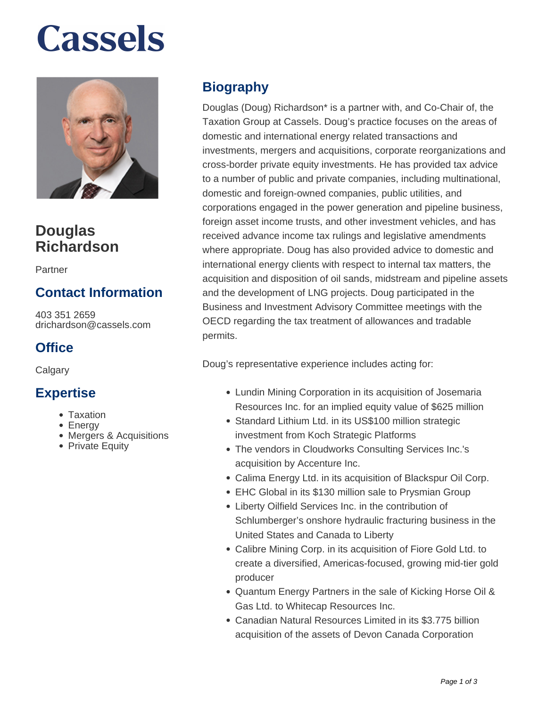# **Cassels**



## **Douglas Richardson**

Partner

### **Contact Information**

403 351 2659 drichardson@cassels.com

#### **Office**

**Calgary** 

#### **Expertise**

- Taxation
- Energy
- Mergers & Acquisitions
- Private Equity

### **Biography**

Douglas (Doug) Richardson\* is a partner with, and Co-Chair of, the Taxation Group at Cassels. Doug's practice focuses on the areas of domestic and international energy related transactions and investments, mergers and acquisitions, corporate reorganizations and cross-border private equity investments. He has provided tax advice to a number of public and private companies, including multinational, domestic and foreign-owned companies, public utilities, and corporations engaged in the power generation and pipeline business, foreign asset income trusts, and other investment vehicles, and has received advance income tax rulings and legislative amendments where appropriate. Doug has also provided advice to domestic and international energy clients with respect to internal tax matters, the acquisition and disposition of oil sands, midstream and pipeline assets and the development of LNG projects. Doug participated in the Business and Investment Advisory Committee meetings with the OECD regarding the tax treatment of allowances and tradable permits.

Doug's representative experience includes acting for:

- Lundin Mining Corporation in its acquisition of Josemaria Resources Inc. for an implied equity value of \$625 million
- Standard Lithium Ltd. in its US\$100 million strategic investment from Koch Strategic Platforms
- The vendors in Cloudworks Consulting Services Inc.'s acquisition by Accenture Inc.
- Calima Energy Ltd. in its acquisition of Blackspur Oil Corp.
- EHC Global in its \$130 million sale to Prysmian Group
- Liberty Oilfield Services Inc. in the contribution of Schlumberger's onshore hydraulic fracturing business in the United States and Canada to Liberty
- Calibre Mining Corp. in its acquisition of Fiore Gold Ltd. to create a diversified, Americas-focused, growing mid-tier gold producer
- Quantum Energy Partners in the sale of Kicking Horse Oil & Gas Ltd. to Whitecap Resources Inc.
- Canadian Natural Resources Limited in its \$3.775 billion acquisition of the assets of Devon Canada Corporation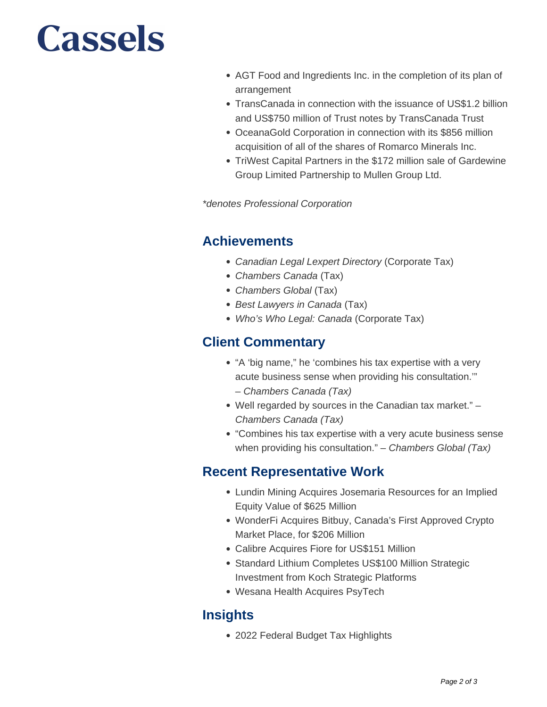## **Cassels**

- AGT Food and Ingredients Inc. in the completion of its plan of arrangement
- TransCanada in connection with the issuance of US\$1.2 billion and US\$750 million of Trust notes by TransCanada Trust
- OceanaGold Corporation in connection with its \$856 million acquisition of all of the shares of Romarco Minerals Inc.
- TriWest Capital Partners in the \$172 million sale of Gardewine Group Limited Partnership to Mullen Group Ltd.

\*denotes Professional Corporation

#### **Achievements**

- Canadian Legal Lexpert Directory (Corporate Tax)
- Chambers Canada (Tax)
- Chambers Global (Tax)
- Best Lawyers in Canada (Tax)
- Who's Who Legal: Canada (Corporate Tax)

#### **Client Commentary**

- "A 'big name," he 'combines his tax expertise with a very acute business sense when providing his consultation.'" – Chambers Canada (Tax)
- Well regarded by sources in the Canadian tax market." Chambers Canada (Tax)
- "Combines his tax expertise with a very acute business sense when providing his consultation." - Chambers Global (Tax)

#### **Recent Representative Work**

- Lundin Mining Acquires Josemaria Resources for an Implied Equity Value of \$625 Million
- WonderFi Acquires Bitbuy, Canada's First Approved Crypto Market Place, for \$206 Million
- Calibre Acquires Fiore for US\$151 Million
- Standard Lithium Completes US\$100 Million Strategic Investment from Koch Strategic Platforms
- Wesana Health Acquires PsyTech

### **Insights**

2022 Federal Budget Tax Highlights